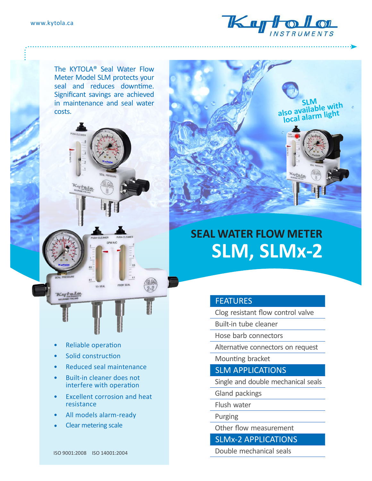

The KYTOLA® Seal Water Flow Meter Model SLM protects your seal and reduces downtime. Significant savings are achieved in maintenance and seal water costs.





# **SEAL WATER FLOW METER SLM, SLMx-2**

# **FEATURES**

Clog resistant flow control valve

Built-in tube cleaner

Hose barb connectors

Alternative connectors on request

Mounting bracket

SLM APPLICATIONS

Single and double mechanical seals

Gland packings

Flush water

Purging

Other flow measurement

SLMx-2 APPLICATIONS

Double mechanical seals

• Reliable operation

- Solid construction
- Reduced seal maintenance

TO SEAL

FROM SEAL

- Built-in cleaner does not interfere with operation
- Excellent corrosion and heat resistance
- All models alarm-ready
- Clear metering scale

ISO 9001:2008 ISO 14001:2004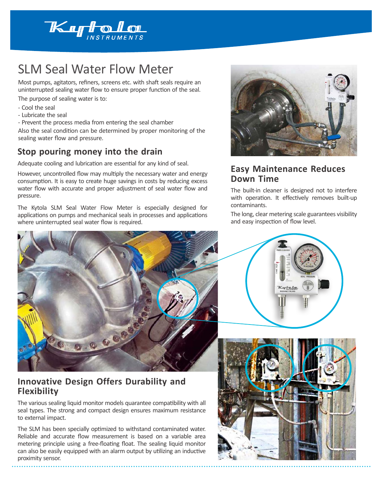

# SLM Seal Water Flow Meter

Most pumps, agitators, refiners, screens etc. with shaft seals require an uninterrupted sealing water flow to ensure proper function of the seal. The purpose of sealing water is to:

- Cool the seal
- Lubricate the seal
- Prevent the process media from entering the seal chamber

Also the seal condition can be determined by proper monitoring of the sealing water flow and pressure.

# **Stop pouring money into the drain**

Adequate cooling and lubrication are essential for any kind of seal.

However, uncontrolled flow may multiply the necessary water and energy consumption. It is easy to create huge savings in costs by reducing excess water flow with accurate and proper adjustment of seal water flow and pressure.

The Kytola SLM Seal Water Flow Meter is especially designed for applications on pumps and mechanical seals in processes and applications where uninterrupted seal water flow is required.



### **Innovative Design Offers Durability and Flexibility**

The various sealing liquid monitor models quarantee compatibility with all seal types. The strong and compact design ensures maximum resistance to external impact.

The SLM has been specially optimized to withstand contaminated water. Reliable and accurate flow measurement is based on a variable area metering principle using a free-floating float. The sealing liquid monitor can also be easily equipped with an alarm output by utilizing an inductive proximity sensor.



### **Easy Maintenance Reduces Down Time**

The built-in cleaner is designed not to interfere with operation. It effectively removes built-up contaminants.

The long, clear metering scale guarantees visibility and easy inspection of flow level.



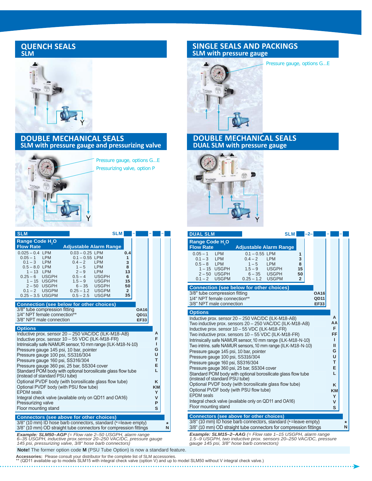#### **QUENCH SEALS SLM**



#### **DOUBLE MECHANICAL SEALS SLM with pressure gauge and pressurizing valve**



Pressure gauge, options G...E Pressurizing valve, option P

| <b>SLM</b>                                                                                                                                                                                                                                                                                                                                                                                                                                                    |                                                                                                                                                                                             | <b>SLM</b>                                                                                                                   |  |  |  |  |
|---------------------------------------------------------------------------------------------------------------------------------------------------------------------------------------------------------------------------------------------------------------------------------------------------------------------------------------------------------------------------------------------------------------------------------------------------------------|---------------------------------------------------------------------------------------------------------------------------------------------------------------------------------------------|------------------------------------------------------------------------------------------------------------------------------|--|--|--|--|
| <b>Range Code H<sub>2</sub>O</b><br><b>Flow Rate</b><br>$0.025 - 0.4$ LPM<br>$0.05 - 1$ LPM<br>$0.1 - 3$ LPM<br>$0.5 - 8.0$ LPM<br>$1 - 13$ LPM<br>$0.25 - 6$ USGPH<br>1-15 USGPH<br>$2-50$ USGPH<br>$0.1 - 2$ USGPM                                                                                                                                                                                                                                          | <b>Adjustable Alarm Range</b><br>$0.03 - 0.25$ LPM<br>$0.1 - 0.55$ LPM<br>$0.4 - 2$<br>$1 - 5$<br><b>LPM</b><br>$2 - 9$<br><b>LPM</b><br>$0.5 - 4$<br>$1.5 - 9$<br>$6 - 35$<br>$0.25 - 1.2$ | 0.4<br>1<br>3<br><b>LPM</b><br>8<br>13<br><b>USGPH</b><br>6<br><b>USGPH</b><br>15<br>50<br><b>USGPH</b><br><b>USGPM</b><br>2 |  |  |  |  |
| $0.25 - 3.5$ USGPM<br><b>Connection (see below for other choices)</b><br>3/8" tube compression fitting<br>1/4" NPT female connection**<br>3/8" NPT male connection                                                                                                                                                                                                                                                                                            | 35<br><b>OA16</b><br>QD11<br><b>EF33</b>                                                                                                                                                    |                                                                                                                              |  |  |  |  |
| <b>Options</b><br>Inductive prox. sensor 20 - 250 VAC/DC (ILK-M18-AB)<br>Inductive prox. sensor 10 - 55 VDC (ILK-M18-FR)<br>Intrinsically safe NAMUR sensor, 10 mm range (ILK-M18-N-10)<br>Pressure gauge 145 psi, 10 bar, pointer<br>Pressure gauge 100 psi, SS316/304<br>Pressure gauge 160 psi, SS316/304<br>Pressure gauge 360 psi, 25 bar, SS304 cover<br>Standard POM body with optional borosilicate glass flow tube<br>(instead of standard PSU tube) |                                                                                                                                                                                             | А<br>F<br>ı<br>G<br>U<br>т<br>Е<br>L<br>ĸ                                                                                    |  |  |  |  |
| Optional PVDF body (with borosilicate glass flow tube)<br>Optional PVDF body (with PSU flow tube)<br><b>EPDM</b> seals<br>Integral check valve (available only on QD11 and OA16)<br>Pressurizing valve<br>Floor mounting stand                                                                                                                                                                                                                                |                                                                                                                                                                                             |                                                                                                                              |  |  |  |  |
| <b>Connectors (see above for other choices)</b><br>3/8" (10 mm) ID hose barb connectors, standard (*=leave empty)<br>*<br>3/8" (10 mm) OD straight tube connectors for compression fittings<br>N                                                                                                                                                                                                                                                              |                                                                                                                                                                                             |                                                                                                                              |  |  |  |  |

*Example: SLM50–AGP (= Flow rate 2–50 USGPH, alarm range 6–35 USGPH, inductive prox.sensor 20–250 VAC/DC, pressure gauge 145 psi, pressurizing valve, 3/8" hose barb connectors)*

 **Note!** The former option code **M** (PSU Tube Option) is now a standard feature.

**Accessories:** Please consult your distributor for the complete list of SLM accessories.<br>\*\* (QD11 available up to models SLM15 with integral check valve (option V) and up to model SLM50 without V integral check valve.)

### **SINGLE SEALS AND PACKINGS SLM with pressure gauge**



#### Pressure gauge, options G...E

**DOUBLE MECHANICAL SEALS**





| <b>DUAL SLM</b>                                                                                                                                    |                                                                                                                                 | <b>SLM</b>                                | -2-                                |   |  |  |  |  |
|----------------------------------------------------------------------------------------------------------------------------------------------------|---------------------------------------------------------------------------------------------------------------------------------|-------------------------------------------|------------------------------------|---|--|--|--|--|
| Range Code H <sub>2</sub> O<br><b>Flow Rate</b>                                                                                                    | <b>Adjustable Alarm Range</b>                                                                                                   |                                           |                                    |   |  |  |  |  |
| $0.05 - 1$<br><b>LPM</b><br>$0.1 - 3$ LPM<br>$0.5 - 8$ LPM<br>1-15 USGPH<br>2-50 USGPH<br>$0.1 - 2$ USGPM                                          | $0.1 - 0.55$ LPM<br><b>LPM</b><br>$0.4 - 2$<br><b>LPM</b><br>$1 - 5$<br>$1.5 - 9$ USGPH<br>$6 - 35$ USGPH<br>$0.25 - 1.2$ USGPM | 1<br>3<br>8<br>15<br>50<br>$\overline{2}$ |                                    |   |  |  |  |  |
| <b>Connection (see below for other choices)</b>                                                                                                    |                                                                                                                                 |                                           |                                    |   |  |  |  |  |
| 3/8" tube compression fitting<br>1/4" NPT female connection**<br>3/8" NPT male connection                                                          |                                                                                                                                 |                                           | <b>OA16</b><br>QD11<br><b>EF33</b> |   |  |  |  |  |
| <b>Options</b>                                                                                                                                     |                                                                                                                                 |                                           |                                    |   |  |  |  |  |
| A<br>Inductive prox. sensor 20 - 250 VAC/DC (ILK-M18-AB)<br>AA<br>Two inductive prox. sensors 20 - 250 VAC/DC (ILK-M18-AB)                         |                                                                                                                                 |                                           |                                    |   |  |  |  |  |
| Inductive prox. sensor 10 - 55 VDC (ILK-M18-FR)                                                                                                    |                                                                                                                                 | F<br>FF                                   |                                    |   |  |  |  |  |
| Two inductive prox. sensors 10 - 55 VDC (ILK-M18-FR)<br>Intrinsically safe NAMUR sensor, 10 mm range (ILK-M18-N-10)                                |                                                                                                                                 | т                                         |                                    |   |  |  |  |  |
| Two intrins. safe NAMUR sensors, 10 mm range (ILK-M18-N-10)<br>Pressure gauge 145 psi, 10 bar, pointer                                             |                                                                                                                                 | Ш<br>G                                    |                                    |   |  |  |  |  |
| Pressure gauge 100 psi, SS316/304                                                                                                                  |                                                                                                                                 | U                                         |                                    |   |  |  |  |  |
| Pressure gauge 160 psi, SS316/304                                                                                                                  |                                                                                                                                 | T.<br>Е                                   |                                    |   |  |  |  |  |
| Pressure gauge 360 psi, 25 bar, SS304 cover<br>Standard POM body with optional borosilicate glass flow tube<br>L<br>(instead of standard PSU tube) |                                                                                                                                 |                                           |                                    |   |  |  |  |  |
| Optional PVDF body (with borosilicate glass flow tube)<br>Optional PVDF body (with PSU flow tube)                                                  |                                                                                                                                 | K                                         |                                    |   |  |  |  |  |
| <b>EPDM</b> seals                                                                                                                                  |                                                                                                                                 | KM<br>Y                                   |                                    |   |  |  |  |  |
| Integral check valve (available only on QD11 and OA16)<br>Floor mounting stand                                                                     |                                                                                                                                 | V                                         |                                    |   |  |  |  |  |
|                                                                                                                                                    |                                                                                                                                 |                                           |                                    | S |  |  |  |  |
| Connectors (see above for other choices)<br>3/8" (10 mm) ID hose barb connectors, standard (*=leave empty)<br>$\ast$                               |                                                                                                                                 |                                           |                                    |   |  |  |  |  |
| 3/8" (10 mm) OD straight tube connectors for compression fittings<br>N                                                                             |                                                                                                                                 |                                           |                                    |   |  |  |  |  |

*Example: SLM15–2–AAG (= Flow rate 1–15 USGPH, alarm range 1.5–9 USGPH, two inductive prox. sensors 20–250 VAC/DC, pressure gauge 145 psi, 3/8" hose barb connectors)*